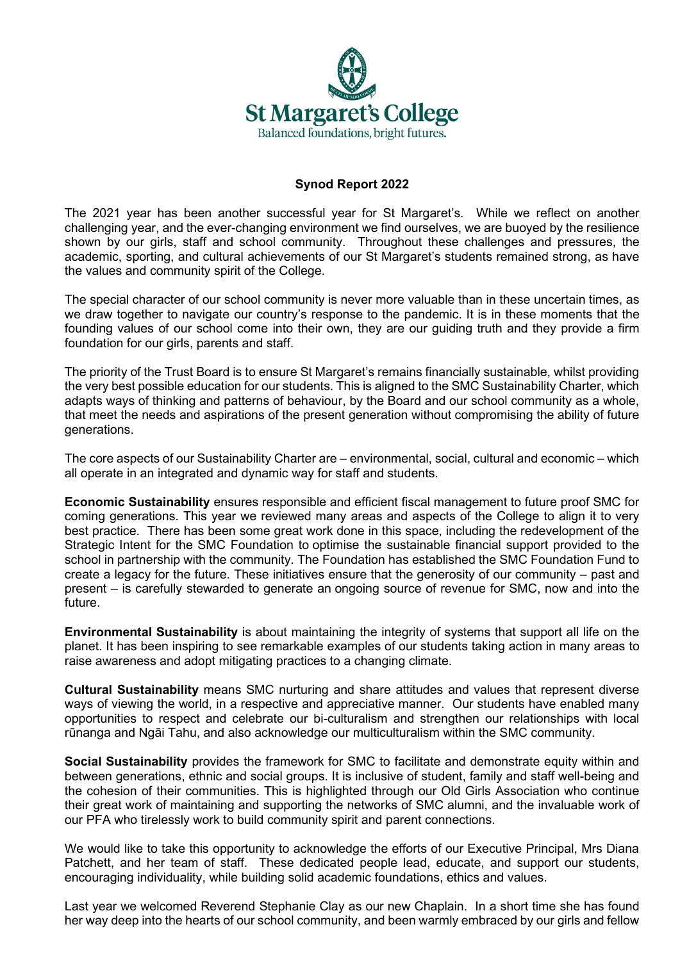

## **Synod Report 2022**

The 2021 year has been another successful year for St Margaret's. While we reflect on another challenging year, and the ever-changing environment we find ourselves, we are buoyed by the resilience shown by our girls, staff and school community. Throughout these challenges and pressures, the academic, sporting, and cultural achievements of our St Margaret's students remained strong, as have the values and community spirit of the College.

The special character of our school community is never more valuable than in these uncertain times, as we draw together to navigate our country's response to the pandemic. It is in these moments that the founding values of our school come into their own, they are our guiding truth and they provide a firm foundation for our girls, parents and staff.

The priority of the Trust Board is to ensure St Margaret's remains financially sustainable, whilst providing the very best possible education for our students. This is aligned to the SMC Sustainability Charter, which adapts ways of thinking and patterns of behaviour, by the Board and our school community as a whole, that meet the needs and aspirations of the present generation without compromising the ability of future generations.

The core aspects of our Sustainability Charter are – environmental, social, cultural and economic – which all operate in an integrated and dynamic way for staff and students.

**Economic Sustainability** ensures responsible and efficient fiscal management to future proof SMC for coming generations. This year we reviewed many areas and aspects of the College to align it to very best practice. There has been some great work done in this space, including the redevelopment of the Strategic Intent for the SMC Foundation to optimise the sustainable financial support provided to the school in partnership with the community. The Foundation has established the SMC Foundation Fund to create a legacy for the future. These initiatives ensure that the generosity of our community – past and present – is carefully stewarded to generate an ongoing source of revenue for SMC, now and into the future.

**Environmental Sustainability** is about maintaining the integrity of systems that support all life on the planet. It has been inspiring to see remarkable examples of our students taking action in many areas to raise awareness and adopt mitigating practices to a changing climate.

**Cultural Sustainability** means SMC nurturing and share attitudes and values that represent diverse ways of viewing the world, in a respective and appreciative manner. Our students have enabled many opportunities to respect and celebrate our bi-culturalism and strengthen our relationships with local rūnanga and Ngāi Tahu, and also acknowledge our multiculturalism within the SMC community.

**Social Sustainability** provides the framework for SMC to facilitate and demonstrate equity within and between generations, ethnic and social groups. It is inclusive of student, family and staff well-being and the cohesion of their communities. This is highlighted through our Old Girls Association who continue their great work of maintaining and supporting the networks of SMC alumni, and the invaluable work of our PFA who tirelessly work to build community spirit and parent connections.

We would like to take this opportunity to acknowledge the efforts of our Executive Principal, Mrs Diana Patchett, and her team of staff. These dedicated people lead, educate, and support our students, encouraging individuality, while building solid academic foundations, ethics and values.

Last year we welcomed Reverend Stephanie Clay as our new Chaplain. In a short time she has found her way deep into the hearts of our school community, and been warmly embraced by our girls and fellow